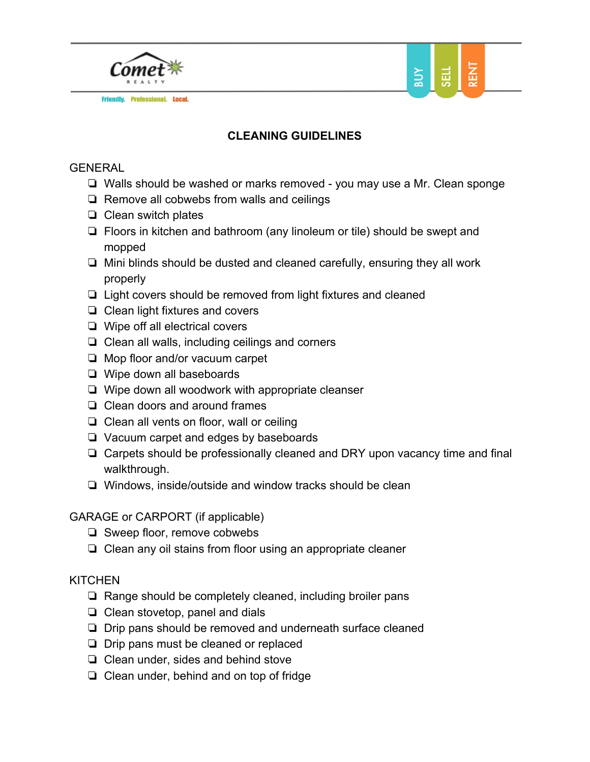

**Friendly. Professional. Local.** 



# **CLEANING GUIDELINES**

#### GENERAL

- ❏ Walls should be washed or marks removed you may use a Mr. Clean sponge
- ❏ Remove all cobwebs from walls and ceilings
- ❏ Clean switch plates
- ❏ Floors in kitchen and bathroom (any linoleum or tile) should be swept and mopped
- ❏ Mini blinds should be dusted and cleaned carefully, ensuring they all work properly
- ❏ Light covers should be removed from light fixtures and cleaned
- ❏ Clean light fixtures and covers
- ❏ Wipe off all electrical covers
- ❏ Clean all walls, including ceilings and corners
- ❏ Mop floor and/or vacuum carpet
- ❏ Wipe down all baseboards
- ❏ Wipe down all woodwork with appropriate cleanser
- ❏ Clean doors and around frames
- ❏ Clean all vents on floor, wall or ceiling
- ❏ Vacuum carpet and edges by baseboards
- ❏ Carpets should be professionally cleaned and DRY upon vacancy time and final walkthrough.
- ❏ Windows, inside/outside and window tracks should be clean

#### GARAGE or CARPORT (if applicable)

- ❏ Sweep floor, remove cobwebs
- ❏ Clean any oil stains from floor using an appropriate cleaner

## **KITCHEN**

- ❏ Range should be completely cleaned, including broiler pans
- ❏ Clean stovetop, panel and dials
- ❏ Drip pans should be removed and underneath surface cleaned
- ❏ Drip pans must be cleaned or replaced
- ❏ Clean under, sides and behind stove
- ❏ Clean under, behind and on top of fridge